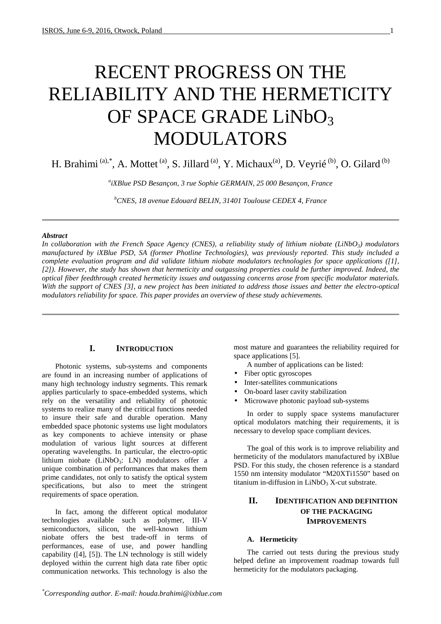# RECENT PROGRESS ON THE RELIABILITY AND THE HERMETICITY OF SPACE GRADE LiNbO3 MODULATORS

H. Brahimi<sup>(a),\*</sup>, A. Mottet<sup>(a)</sup>, S. Jillard<sup>(a)</sup>, Y. Michaux<sup>(a)</sup>, D. Veyrié<sup>(b)</sup>, O. Gilard<sup>(b)</sup>

*a iXBlue PSD Besançon, 3 rue Sophie GERMAIN, 25 000 Besançon, France* 

*<sup>b</sup>CNES, 18 avenue Edouard BELIN, 31401 Toulouse CEDEX 4, France* 

#### *Abstract*

*In collaboration with the French Space Agency (CNES), a reliability study of lithium niobate (LiNbO3) modulators manufactured by iXBlue PSD, SA (former Photline Technologies), was previously reported. This study included a complete evaluation program and did validate lithium niobate modulators technologies for space applications ([1], [2]). However, the study has shown that hermeticity and outgassing properties could be further improved. Indeed, the optical fiber feedthrough created hermeticity issues and outgassing concerns arose from specific modulator materials. With the support of CNES [3], a new project has been initiated to address those issues and better the electro-optical modulators reliability for space. This paper provides an overview of these study achievements.* 

## **I. INTRODUCTION**

Photonic systems, sub-systems and components are found in an increasing number of applications of many high technology industry segments. This remark applies particularly to space-embedded systems, which rely on the versatility and reliability of photonic systems to realize many of the critical functions needed to insure their safe and durable operation. Many embedded space photonic systems use light modulators as key components to achieve intensity or phase modulation of various light sources at different operating wavelengths. In particular, the electro-optic lithium niobate (LiNbO<sub>3</sub>: LN) modulators offer a unique combination of performances that makes them prime candidates, not only to satisfy the optical system specifications, but also to meet the stringent requirements of space operation.

In fact, among the different optical modulator technologies available such as polymer, III-V semiconductors, silicon, the well-known lithium niobate offers the best trade-off in terms of performances, ease of use, and power handling capability ([4], [5]). The LN technology is still widely deployed within the current high data rate fiber optic communication networks. This technology is also the

most mature and guarantees the reliability required for space applications [5].

A number of applications can be listed:

- Fiber optic gyroscopes
- Inter-satellites communications
- On-board laser cavity stabilization
- Microwave photonic payload sub-systems

In order to supply space systems manufacturer optical modulators matching their requirements, it is necessary to develop space compliant devices.

The goal of this work is to improve reliability and hermeticity of the modulators manufactured by iXBlue PSD. For this study, the chosen reference is a standard 1550 nm intensity modulator "M20XTi1550" based on titanium in-diffusion in  $LiNbO<sub>3</sub> X-cut$  substrate.

## **II. IDENTIFICATION AND DEFINITION OF THE PACKAGING IMPROVEMENTS**

## **A. Hermeticity**

The carried out tests during the previous study helped define an improvement roadmap towards full hermeticity for the modulators packaging.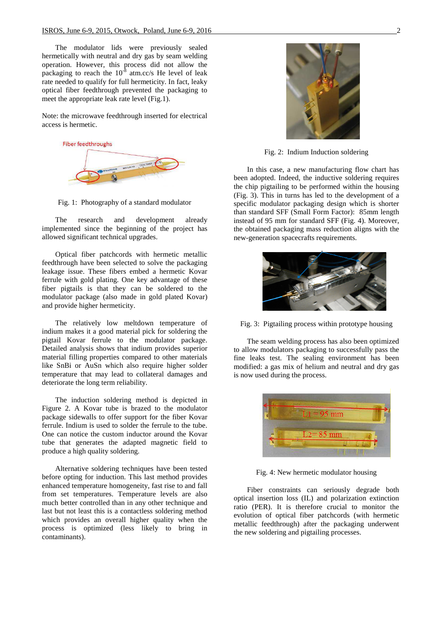The modulator lids were previously sealed hermetically with neutral and dry gas by seam welding operation. However, this process did not allow the packaging to reach the  $10^{-8}$  atm.cc/s He level of leak rate needed to qualify for full hermeticity. In fact, leaky optical fiber feedthrough prevented the packaging to meet the appropriate leak rate level (Fig.1).

Note: the microwave feedthrough inserted for electrical access is hermetic.



Fig. 1: Photography of a standard modulator

The research and development already implemented since the beginning of the project has allowed significant technical upgrades.

Optical fiber patchcords with hermetic metallic feedthrough have been selected to solve the packaging leakage issue. These fibers embed a hermetic Kovar ferrule with gold plating. One key advantage of these fiber pigtails is that they can be soldered to the modulator package (also made in gold plated Kovar) and provide higher hermeticity.

The relatively low meltdown temperature of indium makes it a good material pick for soldering the pigtail Kovar ferrule to the modulator package. Detailed analysis shows that indium provides superior material filling properties compared to other materials like SnBi or AuSn which also require higher solder temperature that may lead to collateral damages and deteriorate the long term reliability.

The induction soldering method is depicted in Figure 2. A Kovar tube is brazed to the modulator package sidewalls to offer support for the fiber Kovar ferrule. Indium is used to solder the ferrule to the tube. One can notice the custom inductor around the Kovar tube that generates the adapted magnetic field to produce a high quality soldering.

Alternative soldering techniques have been tested before opting for induction. This last method provides enhanced temperature homogeneity, fast rise to and fall from set temperatures. Temperature levels are also much better controlled than in any other technique and last but not least this is a contactless soldering method which provides an overall higher quality when the process is optimized (less likely to bring in contaminants).



Fig. 2: Indium Induction soldering

In this case, a new manufacturing flow chart has been adopted. Indeed, the inductive soldering requires the chip pigtailing to be performed within the housing (Fig. 3). This in turns has led to the development of a specific modulator packaging design which is shorter than standard SFF (Small Form Factor): 85mm length instead of 95 mm for standard SFF (Fig. 4). Moreover, the obtained packaging mass reduction aligns with the new-generation spacecrafts requirements.



Fig. 3: Pigtailing process within prototype housing

The seam welding process has also been optimized to allow modulators packaging to successfully pass the fine leaks test. The sealing environment has been modified: a gas mix of helium and neutral and dry gas is now used during the process.



Fig. 4: New hermetic modulator housing

Fiber constraints can seriously degrade both optical insertion loss (IL) and polarization extinction ratio (PER). It is therefore crucial to monitor the evolution of optical fiber patchcords (with hermetic metallic feedthrough) after the packaging underwent the new soldering and pigtailing processes.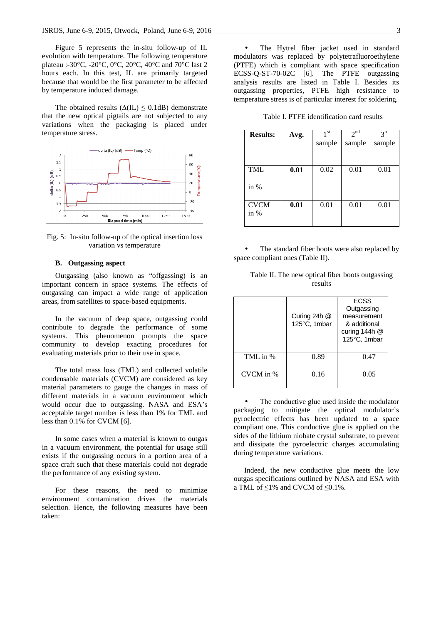Figure 5 represents the in-situ follow-up of IL evolution with temperature. The following temperature plateau :-30°C, -20°C, 0°C, 20°C, 40°C and 70°C last 2 hours each. In this test, IL are primarily targeted because that would be the first parameter to be affected by temperature induced damage.

The obtained results  $(\Delta(IL) \leq 0.1dB)$  demonstrate that the new optical pigtails are not subjected to any variations when the packaging is placed under temperature stress.



Fig. 5: In-situ follow-up of the optical insertion loss variation vs temperature

## **B. Outgassing aspect**

Outgassing (also known as "offgassing) is an important concern in space systems. The effects of outgassing can impact a wide range of application areas, from satellites to space-based equipments.

In the vacuum of deep space, outgassing could contribute to degrade the performance of some systems. This phenomenon prompts the space community to develop exacting procedures for evaluating materials prior to their use in space.

The total mass loss (TML) and collected volatile condensable materials (CVCM) are considered as key material parameters to gauge the changes in mass of different materials in a vacuum environment which would occur due to outgassing. NASA and ESA's acceptable target number is less than 1% for TML and less than 0.1% for CVCM [6].

In some cases when a material is known to outgas in a vacuum environment, the potential for usage still exists if the outgassing occurs in a portion area of a space craft such that these materials could not degrade the performance of any existing system.

For these reasons, the need to minimize environment contamination drives the materials selection. Hence, the following measures have been taken:

The Hytrel fiber jacket used in standard modulators was replaced by polytetrafluoroethylene (PTFE) which is compliant with space specification ECSS-Q-ST-70-02C [6]. The PTFE outgassing analysis results are listed in Table I. Besides its outgassing properties, PTFE high resistance to temperature stress is of particular interest for soldering.

Table I. PTFE identification card results

| <b>Results:</b>       | Avg. | $1$ st | 2 <sup>nd</sup> | $3^{rd}$ |
|-----------------------|------|--------|-----------------|----------|
|                       |      | sample | sample          | sample   |
|                       |      |        |                 |          |
| <b>TML</b>            | 0.01 | 0.02   | 0.01            | 0.01     |
| in $%$                |      |        |                 |          |
| <b>CVCM</b><br>in $%$ | 0.01 | 0.01   | 0.01            | 0.01     |

The standard fiber boots were also replaced by space compliant ones (Table II).

|           | Curing 24h @<br>125°C, 1mbar | <b>ECSS</b><br>Outgassing<br>measurement<br>& additional<br>curing $144h$ @<br>125°C, 1mbar |
|-----------|------------------------------|---------------------------------------------------------------------------------------------|
| TML in %  | 0.89                         | 0.47                                                                                        |
| CVCM in % | 0.16                         | 0.05                                                                                        |

Table II. The new optical fiber boots outgassing results

The conductive glue used inside the modulator packaging to mitigate the optical modulator's pyroelectric effects has been updated to a space compliant one. This conductive glue is applied on the sides of the lithium niobate crystal substrate, to prevent and dissipate the pyroelectric charges accumulating during temperature variations.

Indeed, the new conductive glue meets the low outgas specifications outlined by NASA and ESA with a TML of ≤1% and CVCM of ≤0.1%.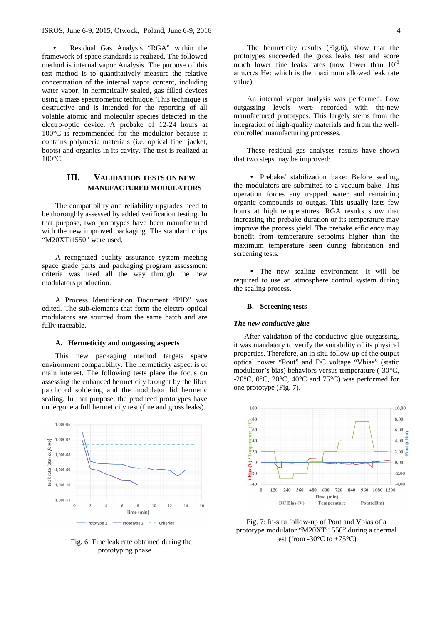• Residual Gas Analysis "RGA" within the framework of space standards is realized. The followed method is internal vapor Analysis. The purpose of this test method is to quantitatively measure the relative concentration of the internal vapor content, including water vapor, in hermetically sealed, gas filled devices using a mass spectrometric technique. This technique is destructive and is intended for the reporting of all volatile atomic and molecular species detected in the electro-optic device. A prebake of 12-24 hours at 100°C is recommended for the modulator because it contains polymeric materials (i.e. optical fiber jacket, boots) and organics in its cavity. The test is realized at 100°C.

## **III. VALIDATION TESTS ON NEW MANUFACTURED MODULATORS**

The compatibility and reliability upgrades need to be thoroughly assessed by added verification testing. In that purpose, two prototypes have been manufactured with the new improved packaging. The standard chips "M20XTi1550" were used.

A recognized quality assurance system meeting space grade parts and packaging program assessment criteria was used all the way through the new modulators production.

A Process Identification Document "PID" was edited. The sub-elements that form the electro optical modulators are sourced from the same batch and are fully traceable.

#### **A. Hermeticity and outgassing aspects**

This new packaging method targets space environment compatibility. The hermeticity aspect is of main interest. The following tests place the focus on assessing the enhanced hermeticity brought by the fiber patchcord soldering and the modulator lid hermetic sealing. In that purpose, the produced prototypes have undergone a full hermeticity test (fine and gross leaks).



Fig. 6: Fine leak rate obtained during the prototyping phase

The hermeticity results (Fig.6), show that the prototypes succeeded the gross leaks test and score much lower fine leaks rates (now lower than  $10^{-8}$ ) atm.cc/s He: which is the maximum allowed leak rate value).

An internal vapor analysis was performed. Low outgassing levels were recorded with the new manufactured prototypes. This largely stems from the integration of high-quality materials and from the wellcontrolled manufacturing processes.

These residual gas analyses results have shown that two steps may be improved:

• Prebake/ stabilization bake: Before sealing, the modulators are submitted to a vacuum bake. This operation forces any trapped water and remaining organic compounds to outgas. This usually lasts few hours at high temperatures. RGA results show that increasing the prebake duration or its temperature may improve the process yield. The prebake efficiency may benefit from temperature setpoints higher than the maximum temperature seen during fabrication and screening tests.

• The new sealing environment: It will be required to use an atmosphere control system during the sealing process.

#### **B. Screening tests**

#### *The new conductive glue*

After validation of the conductive glue outgassing, it was mandatory to verify the suitability of its physical properties. Therefore, an in-situ follow-up of the output optical power "Pout" and DC voltage "Vbias" (static modulator's bias) behaviors versus temperature (-30°C, -20 $^{\circ}$ C, 0 $^{\circ}$ C, 20 $^{\circ}$ C, 40 $^{\circ}$ C and 75 $^{\circ}$ C) was performed for one prototype (Fig. 7).



Fig. 7: In-situ follow-up of Pout and Vbias of a prototype modulator "M20XTi1550" during a thermal test (from -30 $^{\circ}$ C to +75 $^{\circ}$ C)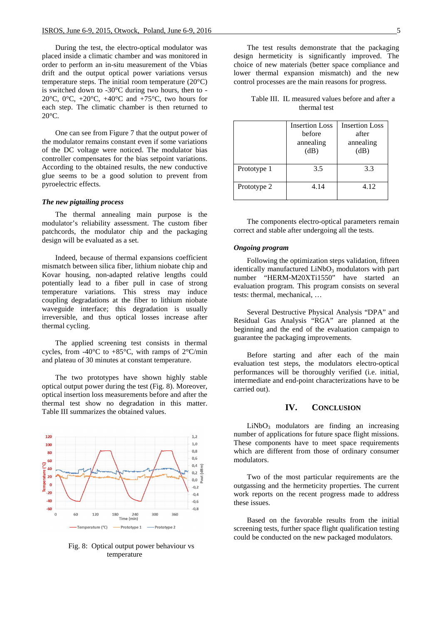During the test, the electro-optical modulator was placed inside a climatic chamber and was monitored in order to perform an in-situ measurement of the Vbias drift and the output optical power variations versus temperature steps. The initial room temperature (20°C) is switched down to -30°C during two hours, then to - 20 $^{\circ}$ C, 0 $^{\circ}$ C, +20 $^{\circ}$ C, +40 $^{\circ}$ C and +75 $^{\circ}$ C, two hours for each step. The climatic chamber is then returned to  $20^{\circ}$ C.

One can see from Figure 7 that the output power of the modulator remains constant even if some variations of the DC voltage were noticed. The modulator bias controller compensates for the bias setpoint variations. According to the obtained results, the new conductive glue seems to be a good solution to prevent from pyroelectric effects.

#### *The new pigtailing process*

The thermal annealing main purpose is the modulator's reliability assessment. The custom fiber patchcords, the modulator chip and the packaging design will be evaluated as a set.

Indeed, because of thermal expansions coefficient mismatch between silica fiber, lithium niobate chip and Kovar housing, non-adapted relative lengths could potentially lead to a fiber pull in case of strong temperature variations. This stress may induce coupling degradations at the fiber to lithium niobate waveguide interface; this degradation is usually irreversible, and thus optical losses increase after thermal cycling.

The applied screening test consists in thermal cycles, from -40 $^{\circ}$ C to +85 $^{\circ}$ C, with ramps of 2 $^{\circ}$ C/min and plateau of 30 minutes at constant temperature.

The two prototypes have shown highly stable optical output power during the test (Fig. 8). Moreover, optical insertion loss measurements before and after the thermal test show no degradation in this matter. Table III summarizes the obtained values.



Fig. 8: Optical output power behaviour vs temperature

The test results demonstrate that the packaging design hermeticity is significantly improved. The choice of new materials (better space compliance and lower thermal expansion mismatch) and the new control processes are the main reasons for progress.

Table III. IL measured values before and after a thermal test

|             | <b>Insertion Loss</b><br>hefore<br>annealing<br>(dB) | <b>Insertion Loss</b><br>after<br>annealing<br>(dB) |
|-------------|------------------------------------------------------|-----------------------------------------------------|
| Prototype 1 | 3.5                                                  | 3.3                                                 |
| Prototype 2 | 4.14                                                 | 4.12                                                |

The components electro-optical parameters remain correct and stable after undergoing all the tests.

### *Ongoing program*

Following the optimization steps validation, fifteen identically manufactured  $LiNbO<sub>3</sub>$  modulators with part number "HERM-M20XTi1550" have started an evaluation program. This program consists on several tests: thermal, mechanical, …

Several Destructive Physical Analysis "DPA" and Residual Gas Analysis "RGA" are planned at the beginning and the end of the evaluation campaign to guarantee the packaging improvements.

Before starting and after each of the main evaluation test steps, the modulators electro-optical performances will be thoroughly verified (i.e. initial, intermediate and end-point characterizations have to be carried out).

#### **IV. CONCLUSION**

 $LiNbO<sub>3</sub>$  modulators are finding an increasing number of applications for future space flight missions. These components have to meet space requirements which are different from those of ordinary consumer modulators.

Two of the most particular requirements are the outgassing and the hermeticity properties. The current work reports on the recent progress made to address these issues.

Based on the favorable results from the initial screening tests, further space flight qualification testing could be conducted on the new packaged modulators.